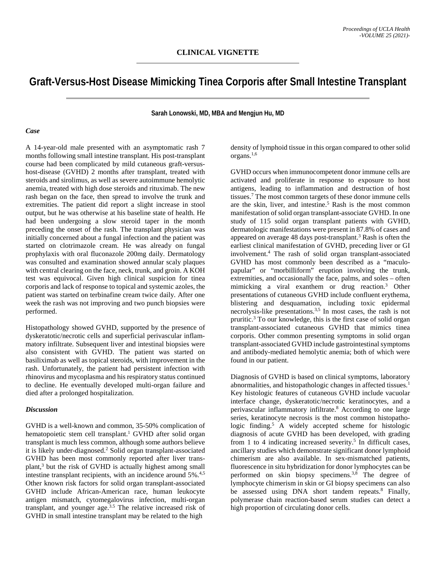## **Graft-Versus-Host Disease Mimicking Tinea Corporis after Small Intestine Transplant**

**Sarah Lonowski, MD, MBA and Mengjun Hu, MD**

## *Case*

A 14-year-old male presented with an asymptomatic rash 7 months following small intestine transplant. His post-transplant course had been complicated by mild cutaneous graft-versushost-disease (GVHD) 2 months after transplant, treated with steroids and sirolimus, as well as severe autoimmune hemolytic anemia, treated with high dose steroids and rituximab. The new rash began on the face, then spread to involve the trunk and extremities. The patient did report a slight increase in stool output, but he was otherwise at his baseline state of health. He had been undergoing a slow steroid taper in the month preceding the onset of the rash. The transplant physician was initially concerned about a fungal infection and the patient was started on clotrimazole cream. He was already on fungal prophylaxis with oral fluconazole 200mg daily. Dermatology was consulted and examination showed annular scaly plaques with central clearing on the face, neck, trunk, and groin. A KOH test was equivocal. Given high clinical suspicion for tinea corporis and lack of response to topical and systemic azoles, the patient was started on terbinafine cream twice daily. After one week the rash was not improving and two punch biopsies were performed.

Histopathology showed GVHD, supported by the presence of dyskeratotic/necrotic cells and superficial perivascular inflammatory infiltrate. Subsequent liver and intestinal biopsies were also consistent with GVHD. The patient was started on basiliximab as well as topical steroids, with improvement in the rash. Unfortunately, the patient had persistent infection with rhinovirus and mycoplasma and his respiratory status continued to decline. He eventually developed multi-organ failure and died after a prolonged hospitalization.

## *Discussion*

GVHD is a well-known and common, 35-50% complication of hematopoietic stem cell transplant.<sup>1</sup> GVHD after solid organ transplant is much less common, although some authors believe it is likely under-diagnosed.2 Solid organ transplant-associated GVHD has been most commonly reported after liver transplant,3 but the risk of GVHD is actually highest among small intestine transplant recipients, with an incidence around 5%.4,5 Other known risk factors for solid organ transplant-associated GVHD include African-American race, human leukocyte antigen mismatch, cytomegalovirus infection, multi-organ transplant, and younger age.3.5 The relative increased risk of GVHD in small intestine transplant may be related to the high

density of lymphoid tissue in this organ compared to other solid organs.1,6

GVHD occurs when immunocompetent donor immune cells are activated and proliferate in response to exposure to host antigens, leading to inflammation and destruction of host tissues.7 The most common targets of these donor immune cells are the skin, liver, and intestine.<sup>5</sup> Rash is the most common manifestation of solid organ transplant-associate GVHD. In one study of 115 solid organ transplant patients with GVHD, dermatologic manifestations were present in 87.8% of cases and appeared on average 48 days post-transplant.<sup>3</sup> Rash is often the earliest clinical manifestation of GVHD, preceding liver or GI involvement.4 The rash of solid organ transplant-associated GVHD has most commonly been described as a "maculopapular" or "morbilliform" eruption involving the trunk, extremities, and occasionally the face, palms, and soles – often mimicking a viral exanthem or drug reaction.3 Other presentations of cutaneous GVHD include confluent erythema, blistering and desquamation, including toxic epidermal necrolysis-like presentations.<sup>3,5</sup> In most cases, the rash is not pruritic.3 To our knowledge, this is the first case of solid organ transplant-associated cutaneous GVHD that mimics tinea corporis. Other common presenting symptoms in solid organ transplant-associated GVHD include gastrointestinal symptoms and antibody-mediated hemolytic anemia; both of which were found in our patient.

Diagnosis of GVHD is based on clinical symptoms, laboratory abnormalities, and histopathologic changes in affected tissues.1 Key histologic features of cutaneous GVHD include vacuolar interface change, dyskeratotic/necrotic keratinocytes, and a perivascular inflammatory infiltrate.8 According to one large series, keratinocyte necrosis is the most common histopathologic finding.<sup>5</sup> A widely accepted scheme for histologic diagnosis of acute GVHD has been developed, with grading from 1 to 4 indicating increased severity.<sup>5</sup> In difficult cases, ancillary studies which demonstrate significant donor lymphoid chimerism are also available. In sex-mismatched patients, fluorescence in situ hybridization for donor lymphocytes can be performed on skin biopsy specimens.<sup>3,8</sup> The degree of lymphocyte chimerism in skin or GI biopsy specimens can also be assessed using DNA short tandem repeats.<sup>8</sup> Finally, polymerase chain reaction-based serum studies can detect a high proportion of circulating donor cells.